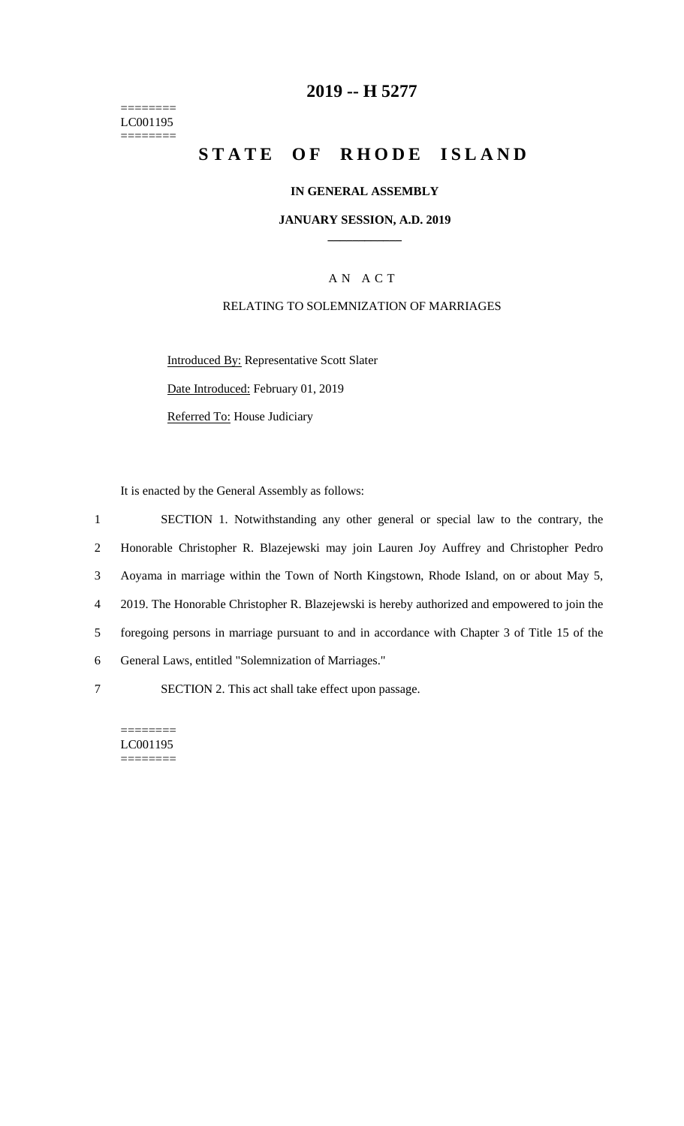======== LC001195  $=$ 

# **2019 -- H 5277**

# STATE OF RHODE ISLAND

## **IN GENERAL ASSEMBLY**

#### **JANUARY SESSION, A.D. 2019 \_\_\_\_\_\_\_\_\_\_\_\_**

## A N A C T

## RELATING TO SOLEMNIZATION OF MARRIAGES

Introduced By: Representative Scott Slater Date Introduced: February 01, 2019

Referred To: House Judiciary

It is enacted by the General Assembly as follows:

| $\mathbf{1}$   | SECTION 1. Notwithstanding any other general or special law to the contrary, the              |
|----------------|-----------------------------------------------------------------------------------------------|
| $\overline{2}$ | Honorable Christopher R. Blazejewski may join Lauren Joy Auffrey and Christopher Pedro        |
| 3              | Aoyama in marriage within the Town of North Kingstown, Rhode Island, on or about May 5,       |
| 4              | 2019. The Honorable Christopher R. Blazejewski is hereby authorized and empowered to join the |
| 5              | foregoing persons in marriage pursuant to and in accordance with Chapter 3 of Title 15 of the |
| 6              | General Laws, entitled "Solemnization of Marriages."                                          |
| 7              | SECTION 2. This act shall take effect upon passage.                                           |

======== LC001195 ========